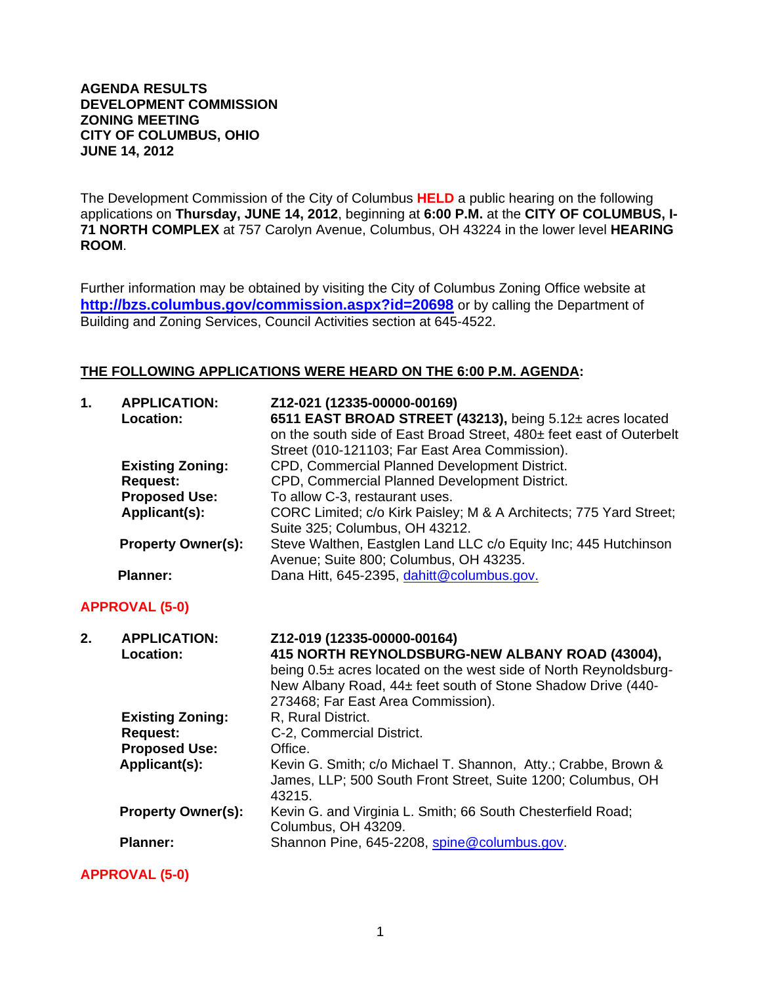### **AGENDA RESULTS DEVELOPMENT COMMISSION ZONING MEETING CITY OF COLUMBUS, OHIO JUNE 14, 2012**

The Development Commission of the City of Columbus **HELD** a public hearing on the following applications on **Thursday, JUNE 14, 2012**, beginning at **6:00 P.M.** at the **CITY OF COLUMBUS, I-71 NORTH COMPLEX** at 757 Carolyn Avenue, Columbus, OH 43224 in the lower level **HEARING ROOM**.

Further information may be obtained by visiting the City of Columbus Zoning Office website at **http://bzs.columbus.gov/commission.aspx?id=20698** or by calling the Department of Building and Zoning Services, Council Activities section at 645-4522.

### **THE FOLLOWING APPLICATIONS WERE HEARD ON THE 6:00 P.M. AGENDA:**

| $\mathbf{1}$ . | <b>APPLICATION:</b><br>Location: | Z12-021 (12335-00000-00169)<br>6511 EAST BROAD STREET (43213), being 5.12± acres located<br>on the south side of East Broad Street, 480± feet east of Outerbelt<br>Street (010-121103; Far East Area Commission). |
|----------------|----------------------------------|-------------------------------------------------------------------------------------------------------------------------------------------------------------------------------------------------------------------|
|                | <b>Existing Zoning:</b>          | CPD, Commercial Planned Development District.                                                                                                                                                                     |
|                | <b>Request:</b>                  | CPD, Commercial Planned Development District.                                                                                                                                                                     |
|                | <b>Proposed Use:</b>             | To allow C-3, restaurant uses.                                                                                                                                                                                    |
|                | Applicant(s):                    | CORC Limited; c/o Kirk Paisley; M & A Architects; 775 Yard Street;<br>Suite 325; Columbus, OH 43212.                                                                                                              |
|                | <b>Property Owner(s):</b>        | Steve Walthen, Eastglen Land LLC c/o Equity Inc; 445 Hutchinson<br>Avenue; Suite 800; Columbus, OH 43235.                                                                                                         |
|                | <b>Planner:</b>                  | Dana Hitt, 645-2395, dahitt@columbus.gov.                                                                                                                                                                         |

#### **APPROVAL (5-0)**

| <b>APPLICATION:</b>       | Z12-019 (12335-00000-00164)                                                                                                    |
|---------------------------|--------------------------------------------------------------------------------------------------------------------------------|
| Location:                 | 415 NORTH REYNOLDSBURG-NEW ALBANY ROAD (43004),                                                                                |
|                           | being 0.5± acres located on the west side of North Reynoldsburg-                                                               |
|                           | New Albany Road, 44± feet south of Stone Shadow Drive (440-                                                                    |
|                           | 273468; Far East Area Commission).                                                                                             |
| <b>Existing Zoning:</b>   | R, Rural District.                                                                                                             |
| <b>Request:</b>           | C-2, Commercial District.                                                                                                      |
| <b>Proposed Use:</b>      | Office.                                                                                                                        |
| Applicant(s):             | Kevin G. Smith; c/o Michael T. Shannon, Atty.; Crabbe, Brown &<br>James, LLP; 500 South Front Street, Suite 1200; Columbus, OH |
|                           | 43215.                                                                                                                         |
| <b>Property Owner(s):</b> | Kevin G. and Virginia L. Smith; 66 South Chesterfield Road;<br>Columbus, OH 43209.                                             |
| <b>Planner:</b>           | Shannon Pine, 645-2208, spine@columbus.gov.                                                                                    |
|                           |                                                                                                                                |

**APPROVAL (5-0)**